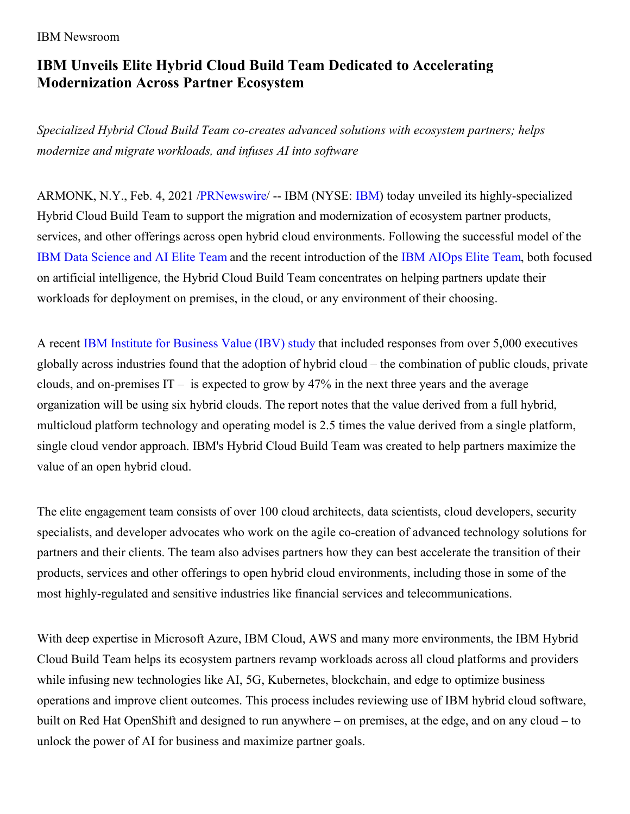## IBM Newsroom

## **IBM Unveils Elite Hybrid Cloud Build Team Dedicated to Accelerating Modernization Across Partner Ecosystem**

*Specialized Hybrid Cloud Build Team co-creates advanced solutions with ecosystem partners; helps modernize and migrate workloads, and infuses AI into software*

ARMONK, N.Y., Feb. 4, 2021 [/PRNewswire](http://www.prnewswire.com/)/ -- IBM (NYSE: [IBM](https://c212.net/c/link/?t=0&l=en&o=3058129-1&h=2379096069&u=http%3A%2F%2Fwww.ibm.com%2Finvestor&a=IBM)) today unveiled its highly-specialized Hybrid Cloud Build Team to support the migration and modernization of ecosystem partner products, services, and other offerings across open hybrid cloud environments. Following the successful model of the IBM Data [Science](https://c212.net/c/link/?t=0&l=en&o=3058129-1&h=1022763757&u=https%3A%2F%2Fwww.ibm.com%2Fcommunity%2Fdatascience%2Felite%2F&a=IBM+Data+Science+and+AI+Elite+Team) and AI Elite Team and the recent introduction of the IBM [AIOps](https://c212.net/c/link/?t=0&l=en&o=3058129-1&h=4016405500&u=https%3A%2F%2Fnewsroom.ibm.com%2FIBM-New-AIOps-Elite-Team-Dinesh-Nirmal-QA&a=IBM+AIOps+Elite+Team) Elite Team, both focused on artificial intelligence, the Hybrid Cloud Build Team concentrates on helping partners update their workloads for deployment on premises, in the cloud, or any environment of their choosing.

A recent IBM Institute for [Business](https://c212.net/c/link/?t=0&l=en&o=3058129-1&h=1313592675&u=https%3A%2F%2Fwww.ibm.com%2Fthought-leadership%2Finstitute-business-value%2Freport%2Fhybrid-cloud-platform&a=IBM+Institute+for+Business+Value+(IBV)+study) Value (IBV) study that included responses from over 5,000 executives globally across industries found that the adoption of hybrid cloud – the combination of public clouds, private clouds, and on-premises  $IT -$  is expected to grow by 47% in the next three years and the average organization will be using six hybrid clouds. The report notes that the value derived from a full hybrid, multicloud platform technology and operating model is 2.5 times the value derived from a single platform, single cloud vendor approach. IBM's Hybrid Cloud Build Team was created to help partners maximize the value of an open hybrid cloud.

The elite engagement team consists of over 100 cloud architects, data scientists, cloud developers, security specialists, and developer advocates who work on the agile co-creation of advanced technology solutions for partners and their clients. The team also advises partners how they can best accelerate the transition of their products, services and other offerings to open hybrid cloud environments, including those in some of the most highly-regulated and sensitive industries like financial services and telecommunications.

With deep expertise in Microsoft Azure, IBM Cloud, AWS and many more environments, the IBM Hybrid Cloud Build Team helps its ecosystem partners revamp workloads across all cloud platforms and providers while infusing new technologies like AI, 5G, Kubernetes, blockchain, and edge to optimize business operations and improve client outcomes. This process includes reviewing use of IBM hybrid cloud software, built on Red Hat OpenShift and designed to run anywhere – on premises, at the edge, and on any cloud – to unlock the power of AI for business and maximize partner goals.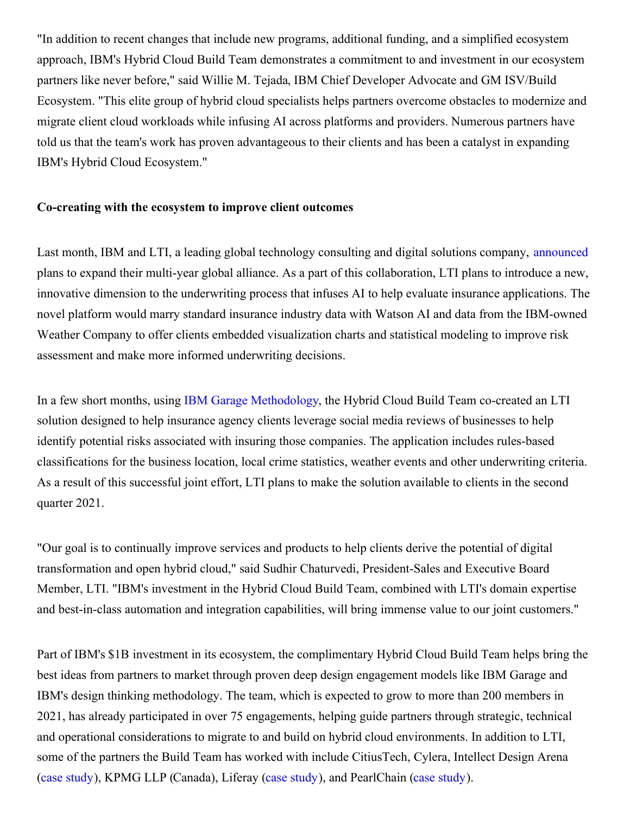"In addition to recent changes that include new programs, additional funding, and a simplified ecosystem approach, IBM's Hybrid Cloud Build Team demonstrates a commitment to and investment in our ecosystem partners like never before," said Willie M. Tejada, IBM Chief Developer Advocate and GM ISV/Build Ecosystem. "This elite group of hybrid cloud specialists helps partners overcome obstacles to modernize and migrate client cloud workloads while infusing AI across platforms and providers. Numerous partners have told us that the team's work has proven advantageous to their clients and has been a catalyst in expanding IBM's Hybrid Cloud Ecosystem."

## **Co-creating with the ecosystem to improve client outcomes**

Last month, IBM and LTI, a leading global technology consulting and digital solutions company, [announced](https://c212.net/c/link/?t=0&l=en&o=3058129-1&h=1903547477&u=https%3A%2F%2Fwww.lntinfotech.com%2Fnews-event%2Flti-and-ibm-to-expand-global-alliance-to-help-organizations-accelerate-digital-transformation-with-open-hybrid-cloud%2F&a=announced) plans to expand their multi-year global alliance. As a part of this collaboration, LTI plans to introduce a new, innovative dimension to the underwriting process that infuses AI to help evaluate insurance applications. The novel platform would marry standard insurance industry data with Watson AI and data from the IBM-owned Weather Company to offer clients embedded visualization charts and statistical modeling to improve risk assessment and make more informed underwriting decisions.

In a few short months, using IBM Garage [Methodology](https://c212.net/c/link/?t=0&l=en&o=3058129-1&h=3223788788&u=https%3A%2F%2Fwww.ibm.com%2Fgarage%2Fmethod%3Fp1%3DSearch%26p4%3Dp51361733278%26p5%3Db%26cm_mmc%3DSearch_Google-_-1S_1S-_-WW_NA-_-%252Bibm%2520%252Bgarage%2520%252Bmethodology_b%26cm_mmca7%3D71700000062993160%26cm_mmca8%3Dkwd-826603861849%26cm_mmca9%3DCj0KCQiAlsv_BRDtARIsAHMGVSZnAlkNiHjafy26QDYdav3EUHNUmUI3kR6shjPlhgACXHWMbKTmuhUaAtg7EALw_wcB%26cm_mmca10%3D434108146463%26cm_mmca11%3Db%26gclid%3DCj0KCQiAlsv_BRDtARIsAHMGVSZnAlkNiHjafy26QDYdav3EUHNUmUI3kR6shjPlhgACXHWMbKTmuhUaAtg7EALw_wcB%26gclsrc%3Daw.ds&a=IBM+Garage+Methodology), the Hybrid Cloud Build Team co-created an LTI solution designed to help insurance agency clients leverage social media reviews of businesses to help identify potential risks associated with insuring those companies. The application includes rules-based classifications for the business location, local crime statistics, weather events and other underwriting criteria. As a result of this successful joint effort, LTI plans to make the solution available to clients in the second quarter 2021.

"Our goal is to continually improve services and products to help clients derive the potential of digital transformation and open hybrid cloud," said Sudhir Chaturvedi, President-Sales and Executive Board Member, LTI. "IBM's investment in the Hybrid Cloud Build Team, combined with LTI's domain expertise and best-in-class automation and integration capabilities, will bring immense value to our joint customers."

Part of IBM's \$1B investment in its ecosystem, the complimentary Hybrid Cloud Build Team helps bring the best ideas from partners to market through proven deep design engagement models like IBM Garage and IBM's design thinking methodology. The team, which is expected to grow to more than 200 members in 2021, has already participated in over 75 engagements, helping guide partners through strategic, technical and operational considerations to migrate to and build on hybrid cloud environments. In addition to LTI, some of the partners the Build Team has worked with include CitiusTech, Cylera, Intellect Design Arena (case [study](https://c212.net/c/link/?t=0&l=en&o=3058129-1&h=222568694&u=https%3A%2F%2Fwww.ibm.com%2Fblogs%2Fbusiness-partners%2Fisvs-help-financial-institutions-with-the-journey-to-the-cloud-with-the-ibm-hybrid-cloud-build-team%2F&a=case+study)), KPMG LLP (Canada), Liferay (case [study](https://c212.net/c/link/?t=0&l=en&o=3058129-1&h=4078291710&u=https%3A%2F%2Fwww.ibm.com%2Fblogs%2Fbusiness-partners%2Fbuild-on-the-ibm-public-cloud-with-red-hat-openshift%2F&a=case+study)), and PearlChain (case [study](https://c212.net/c/link/?t=0&l=en&o=3058129-1&h=2096727866&u=https%3A%2F%2Fwww.ibm.com%2Fblogs%2Fbusiness-partners%2Fbuilding-a-predictable-cloud%2F&a=case+study)).